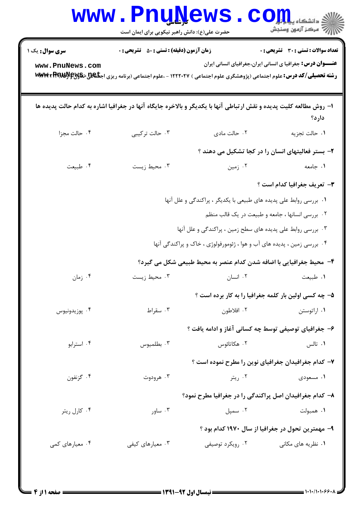|                                           | www.PnuNews<br>حضرت علی(ع): دانش راهبر نیکویی برای ایمان است                                                                                                                                      |                                                                         | COIL S<br>رآ - مرڪز آزمون وسنڊش                                                                                   |
|-------------------------------------------|---------------------------------------------------------------------------------------------------------------------------------------------------------------------------------------------------|-------------------------------------------------------------------------|-------------------------------------------------------------------------------------------------------------------|
| <b>سری سوال :</b> یک ۱<br>www.PnuNews.com | <b>زمان آزمون (دقیقه) : تستی : 50 ٪ تشریحی : 0</b><br><b>رشته تحصیلی/کد درس:</b> علوم اجتماعی (پژوهشگری علوم اجتماعی ) ۱۲۲۲۰۲۷ - ،علوم اجتماعی (برنامه ریزی اج <del>تا&amp;U ،تا&amp;U ، تا</del> |                                                                         | <b>تعداد سوالات : تستی : 30 ٪ تشریحی : 0</b><br><b>عنـــوان درس:</b> جغرافیا ی انسانی ایران،جغرافیای انسانی ایران |
|                                           | ا– روش مطالعه کلیت پدیده و نقش ارتباطی آنها با یکدیگر و بالاخره جایگاه آنها در جغرافیا اشاره به کدام حالت پدیده ها                                                                                |                                                                         | دارد؟                                                                                                             |
| ۰۴ حالت مجزا                              | ۰۳ حالت ترکیبی                                                                                                                                                                                    | ۰۲ حالت مادی                                                            | ٠١ حالت تجزيه                                                                                                     |
|                                           |                                                                                                                                                                                                   |                                                                         | ۲- بستر فعالیتهای انسان را در کجا تشکیل می دهند ؟                                                                 |
| ۰۴ طبیعت                                  | ۰۳ محیط زیست                                                                                                                                                                                      | ۰۲ زمین                                                                 | ۰۱ جامعه                                                                                                          |
|                                           |                                                                                                                                                                                                   |                                                                         | <b>٣</b> - تعريف جغرافيا كدام است ؟                                                                               |
|                                           |                                                                                                                                                                                                   | ۰۱ بررسی روابط علی پدیده های طبیعی با یکدیگر ، پراکندگی و علل آنها      |                                                                                                                   |
|                                           |                                                                                                                                                                                                   |                                                                         | ۰۲ بررسی انسانها ، جامعه و طبیعت در یک قالب منظم                                                                  |
|                                           |                                                                                                                                                                                                   | ۰۳ بررسی روابط علی پدیده های سطح زمین ، پراکندگی و علل آنها             |                                                                                                                   |
|                                           |                                                                                                                                                                                                   | ۰۴ بررسی زمین ، پدیده های آب و هوا ، ژئومورفولوژی ، خاک و پراکندگی آنها |                                                                                                                   |
|                                           |                                                                                                                                                                                                   | ۴- محیط جغرافیایی با اضافه شدن کدام عنصر به محیط طبیعی شکل می گیرد؟     |                                                                                                                   |
| ۰۴ زمان                                   | ۰۳ محیط زیست                                                                                                                                                                                      | ۰۲ انسان                                                                | ٠١ طبيعت                                                                                                          |
|                                           |                                                                                                                                                                                                   |                                                                         | ۵– چه کسی اولین بار کلمه جغرافیا را به کار برده است ؟                                                             |
| ۰۴ پوزيدونيوس                             | ۰۳ سقراط                                                                                                                                                                                          | ۰۲ افلاطون                                                              | ۰۱ اراتوستن                                                                                                       |
|                                           |                                                                                                                                                                                                   | ۶– جغرافیای توصیفی توسط چه کسانی آغاز و ادامه یافت ؟                    |                                                                                                                   |
| ۰۴ استرابو                                | ۰۳ بطلمیوس                                                                                                                                                                                        | ۰۲ هکاتائوس                                                             | ۰۱ تالس                                                                                                           |
|                                           |                                                                                                                                                                                                   | ۷- کدام جغرافیدان جغرافیای نوین را مطرح نموده است ؟                     |                                                                                                                   |
| ۰۴ گزنفون                                 | ۰۳ هرودوت                                                                                                                                                                                         | ۰۲ ریتر                                                                 | ۰۱ مسعودی                                                                                                         |
|                                           |                                                                                                                                                                                                   | ۸– کدام جغرافیدان اصل پراکندگی را در جغرافیا مطرح نمود؟                 |                                                                                                                   |
| ۰۴ کارل ریتر                              | ۰۳ ساور                                                                                                                                                                                           | ۰۲ سمپل                                                                 | ۰۱ همبولت                                                                                                         |
|                                           |                                                                                                                                                                                                   |                                                                         | ۹– مهمترین تحول در جغرافیا از سال ۱۹۷۰ کدام بود ؟                                                                 |
| ۰۴ معیارهای کمی                           | ۰۳ معیارهای کیفی                                                                                                                                                                                  | ۰۲ رویکرد توصیفی                                                        | ۰۱ نظریه های مکانی                                                                                                |
|                                           |                                                                                                                                                                                                   |                                                                         |                                                                                                                   |
|                                           |                                                                                                                                                                                                   |                                                                         |                                                                                                                   |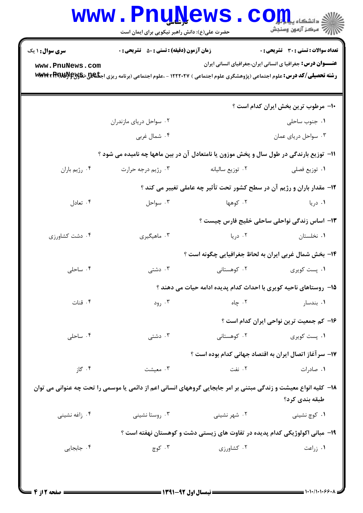|                        | <b>www.PnuNews</b><br>حضرت علی(ع): دانش راهبر نیکویی برای ایمان است                                                                                 |                                                                             | دانشکاه پی <mark>ا ب</mark> را<br>أأأ مركز آزمون وسنجش            |
|------------------------|-----------------------------------------------------------------------------------------------------------------------------------------------------|-----------------------------------------------------------------------------|-------------------------------------------------------------------|
| <b>سری سوال : ۱ یک</b> | <b>زمان آزمون (دقیقه) : تستی : 50 ٪ تشریحی : 0</b>                                                                                                  |                                                                             | <b>تعداد سوالات : تستی : 30 ٪ تشریحی : 0</b>                      |
| www.PnuNews.com        | <b>رشته تحصیلی/کد درس:</b> علوم اجتماعی (پژوهشگری علوم اجتماعی ) ۱۲۲۲۰۲۷ - ،علوم اجتماعی (برنامه ریزی اج <del>تا&amp;U ،تا&amp;U با WWW</del> ، #RR |                                                                             | <b>عنـــوان درس:</b> جغرافیا ی انسانی ایران،جغرافیای انسانی ایران |
|                        |                                                                                                                                                     |                                                                             | ۱۰- مرطوب ترین بخش ایران کدام است ؟                               |
|                        | ۰۲ سواحل دریای مازندران                                                                                                                             |                                                                             | ۰۱ جنوب ساحلی                                                     |
|                        | ۰۴ شمال غربي                                                                                                                                        |                                                                             | ۰۳ سواحل دریای عمان                                               |
|                        | 11- توزیع بارندگی در طول سال و پخش موزون یا نامتعادل آن در بین ماهها چه نامیده می شود ؟                                                             |                                                                             |                                                                   |
| ۰۴ رژيم باران          | ۰۳ رژيم درجه حرارت                                                                                                                                  | ٠٢ توزيع ساليانه                                                            | ۰۱ توزیع فصلی                                                     |
|                        |                                                                                                                                                     | ۱۲- مقدار باران و رژیم آن در سطح کشور تحت تأثیر چه عاملی تغییر می کند ؟     |                                                                   |
| ۰۴ تعادل               | ۰۳ سواحل                                                                                                                                            | ۰۲ کوهها                                                                    | ۰۱ دریا                                                           |
|                        |                                                                                                                                                     |                                                                             | ۱۳– اساس زندگی نواحلی ساحلی خلیج فارس چیست ؟                      |
| ۰۴ دشت کشاورزی         | ۰۳ ماهیگیری                                                                                                                                         | ۰۲ دریا                                                                     | ۰۱ نخلستان                                                        |
|                        |                                                                                                                                                     |                                                                             | ۱۴- بخش شمال غربی ایران به لحاظ جغرافیایی چگونه است ؟             |
| ۰۴ ساحلی               | ۰۳ دشتی                                                                                                                                             | ۲. کوهستانی                                                                 | ۰۱ پست کویری                                                      |
|                        |                                                                                                                                                     | ۱۵– روستاهای ناحیه کویری با احداث کدام پدیده ادامه حیات می دهند ؟           |                                                                   |
| ۰۴ قنات                | ۰۳ رود                                                                                                                                              | . جاه $\mathcal{F}$ . $\mathcal{F}$                                         | ۰۱ بندسار                                                         |
|                        |                                                                                                                                                     |                                                                             | ۱۶– کم جمعیت ترین نواحی ایران کدام است ؟                          |
| ۰۴ ساحلی               | دشتی $\cdot^{\mathsf{r}}$                                                                                                                           | ۰۲ کوهستانی                                                                 | ۰۱ پست کویری                                                      |
|                        |                                                                                                                                                     |                                                                             | ۱۷– سر آغاز اتصال ایران به اقتصاد جهانی کدام بوده است ؟           |
| ۰۴ گاز                 | ۰۳ معیشت                                                                                                                                            | ۰۲ نفت                                                                      | ۰۱ صادرات                                                         |
|                        | ۱۸– کلیه انواع معیشت و زندگی مبتنی بر امر جابجایی گروههای انسانی اعم از دائمی یا موسمی را تحت چه عنوانی می توان                                     |                                                                             | طبقه بندي كرد؟                                                    |
| ۰۴ زاغه نشینی          | ۰۳ روستا نشینی                                                                                                                                      | ۰۲ شهر نشینی                                                                | ۰۱ کوچ نشینی                                                      |
|                        |                                                                                                                                                     | ۱۹– مبانی اکولوژیکی کدام پدیده در تفاوت های زیستی دشت و کوهستان نهفته است ؟ |                                                                   |
| ۰۴ جابجايي             | ۰۳ کوچ                                                                                                                                              | ۰۲ کشاورزی                                                                  | ۰۱ زراعت                                                          |
|                        |                                                                                                                                                     |                                                                             |                                                                   |

 $\blacksquare$  ) • ) • / ) • ) • ۶۰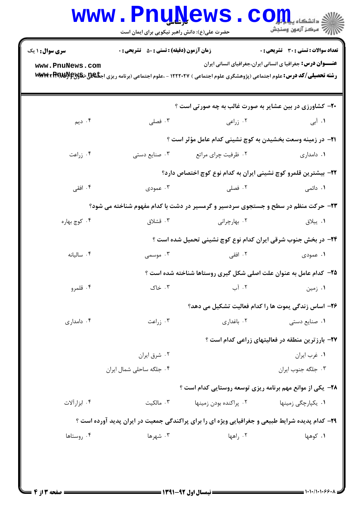| <b>سری سوال :</b> ۱ یک | <b>زمان آزمون (دقیقه) : تستی : 50 ٪ تشریحی : 0</b> |                                                                                                                                                     | تعداد سوالات : تستي : 30 - تشريحي : 0                             |
|------------------------|----------------------------------------------------|-----------------------------------------------------------------------------------------------------------------------------------------------------|-------------------------------------------------------------------|
| www.PnuNews.com        |                                                    | <b>رشته تحصیلی/کد درس:</b> علوم اجتماعی (پژوهشگری علوم اجتماعی ) ۱۲۲۲۰۲۷ - ،علوم اجتماعی (برنامه ریزی اج <del>تا&amp;U ،تا&amp;U با WWW</del> ، #WW | <b>عنـــوان درس:</b> جغرافیا ی انسانی ایران،جغرافیای انسانی ایران |
|                        |                                                    | <b>۲۰</b> - کشاورزی در بین عشایر به صورت غالب به چه صورتی است ؟                                                                                     |                                                                   |
| ۰۴ دیم                 | ۰۳ فصلی                                            | ۰۲ زراعی                                                                                                                                            | <b>۱.</b> آبی                                                     |
|                        |                                                    | <b>۲۱</b> - در زمینه وسعت بخشیدن به کوچ نشینی کدام عامل مؤثر است ؟                                                                                  |                                                                   |
| ۰۴ زراعت               | ۰۳ صنایع دستی                                      | ۰۲ ظرفیت چرای مراتع                                                                                                                                 | ۰۱ دامداری                                                        |
|                        |                                                    | ۲۲– بیشترین قلمرو کوچ نشینی ایران به کدام نوع کوچ اختصاص دارد؟                                                                                      |                                                                   |
| ۰۴ افقی                | ۰۳ عمودی                                           | ۰۲ فصلی                                                                                                                                             | <b>۱</b> . دائمی                                                  |
|                        |                                                    | ۲۳- حرکت منظم در سطح و جستجوی سردسیر و گرمسیر در دشت با کدام مفهوم شناخته می شود؟                                                                   |                                                                   |
| ۰۴ کوچ بهاره           | ۰۳ قشلاق                                           | ۰۲ بهارچرانی                                                                                                                                        | ۰۱ ييلاق                                                          |
|                        |                                                    | ۲۴- در بخش جنوب شرقی ایران کدام نوع کوچ نشینی تحمیل شده است ؟                                                                                       |                                                                   |
| ۰۴ ساليانه             | ۰۳ موسمی                                           | ۰۲ افقی                                                                                                                                             | ۱. عمودی                                                          |
|                        |                                                    | <b>۲۵</b> - کدام عامل به عنوان علت اصلی شکل گیری روستاها شناخته شده است ؟                                                                           |                                                                   |
| ۰۴ قلمرو               | ۰۳ خاک                                             | ۰۲ آب                                                                                                                                               | ۰۱ زمین                                                           |
|                        |                                                    | ۲۶- اساس زندگی یموت ها را کدام فعالیت تشکیل می دهد؟                                                                                                 |                                                                   |
| ۰۴ دامداری             | ۰۳ زراعت                                           | ۰۲ باغداری                                                                                                                                          | ۰۱ صنایع دستی                                                     |
|                        |                                                    |                                                                                                                                                     | <b>۲۷- بارزترین منطقه در فعالیتهای زراعی کدام است</b> ؟           |
|                        | ۰۲ شرق ایران                                       |                                                                                                                                                     | ٠١ غرب ايران                                                      |
|                        | ۰۴ جلگه ساحلی شمال ایران                           |                                                                                                                                                     | ۰۳ جلگه جنوب ايران                                                |
|                        |                                                    | <b>۲۸</b> - یکی از موانع مهم برنامه ریزی توسعه روستایی کدام است ؟                                                                                   |                                                                   |
| ۰۴ ابزار آلات          | ۰۳ مالکیت                                          | ۰۲ پراکنده بودن زمینها                                                                                                                              | ۰۱ يکپارچگى زمينها                                                |
|                        |                                                    | <b>۲۹</b> - کدام پدیده شرایط طبیعی و جغرافیایی ویژه ای را برای پراکندگی جمعیت در ایران پدید آورده است ؟                                             |                                                                   |
| ۰۴ روستاها             | ۰۳ شهرها                                           | ۰۲ راهها                                                                                                                                            | ۰۱ کوهها                                                          |